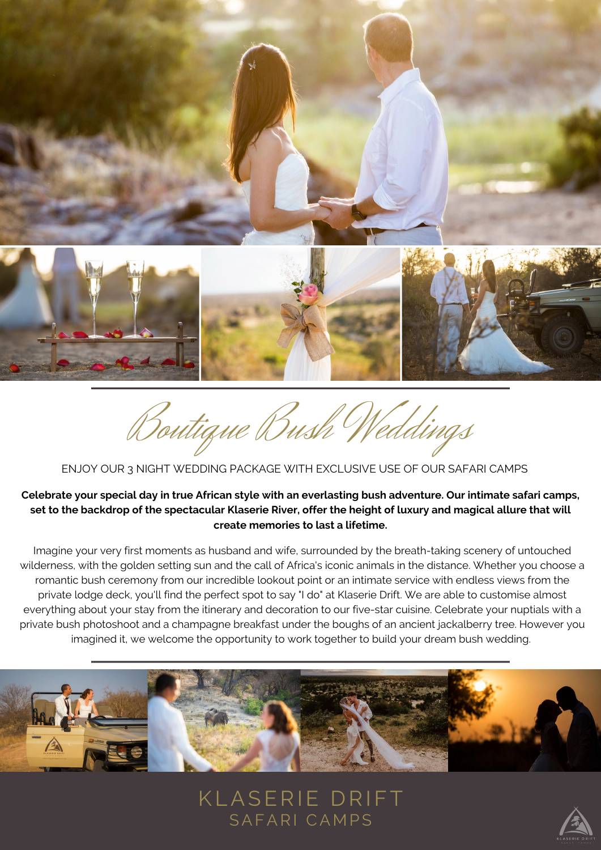



Boutique Bush Weddings

# ENJOY OUR 3 NIGHT WEDDING PACKAGE WITH EXCLUSIVE USE OF OUR SAFARI CAMPS

## **Celebrate your special day in true African style with an everlasting bush adventure. Our intimate safari camps, set to the backdrop of the spectacular Klaserie River, offer the height of luxury and magical allure that will create memories to last a lifetime.**

Imagine your very first moments as husband and wife, surrounded by the breath-taking scenery of untouched wilderness, with the golden setting sun and the call of Africa's iconic animals in the distance. Whether you choose a romantic bush ceremony from our incredible lookout point or an intimate service with endless views from the private lodge deck, you'll find the perfect spot to say "I do" at Klaserie Drift. We are able to customise almost everything about your stay from the itinerary and decoration to our five-star cuisine. Celebrate your nuptials with a private bush photoshoot and a champagne breakfast under the boughs of an ancient jackalberry tree. However you imagined it, we welcome the opportunity to work together to build your dream bush wedding.



KLASERIE DRIFT SAFARI CAMPS